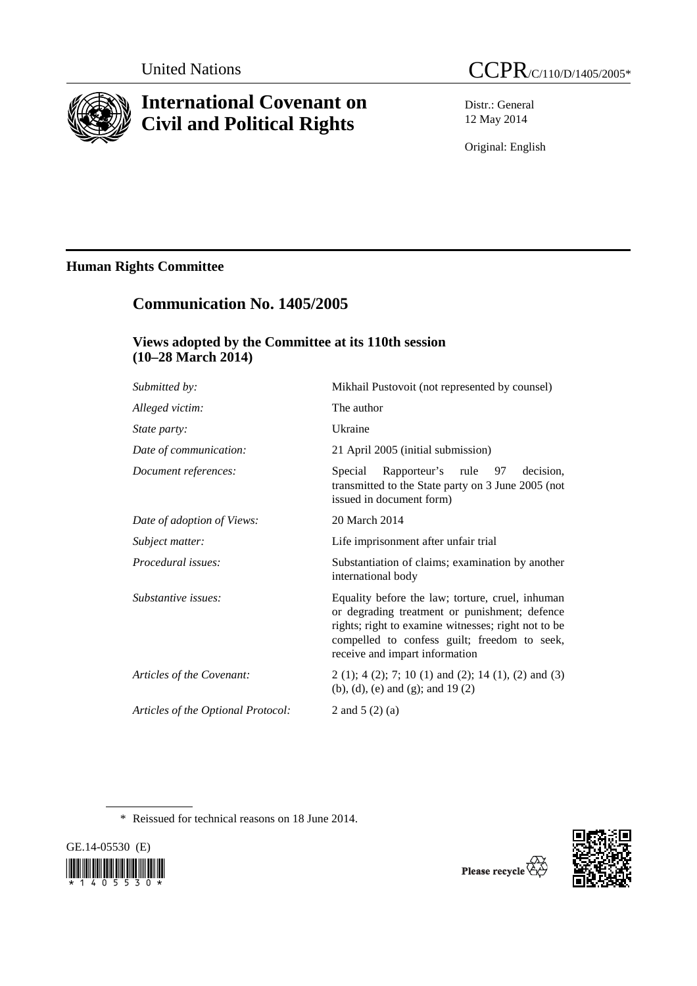

# **International Covenant on Civil and Political Rights**

Distr.: General 12 May 2014

Original: English

### **Human Rights Committee**

## **Communication No. 1405/2005**

### **Views adopted by the Committee at its 110th session (10–28 March 2014)**

| Submitted by:                      | Mikhail Pustovoit (not represented by counsel)                                                                                                                                                                                             |
|------------------------------------|--------------------------------------------------------------------------------------------------------------------------------------------------------------------------------------------------------------------------------------------|
| Alleged victim:                    | The author                                                                                                                                                                                                                                 |
| State party:                       | Ukraine                                                                                                                                                                                                                                    |
| Date of communication:             | 21 April 2005 (initial submission)                                                                                                                                                                                                         |
| Document references:               | Rapporteur's rule 97<br>Special<br>decision.<br>transmitted to the State party on 3 June 2005 (not<br>issued in document form)                                                                                                             |
| Date of adoption of Views:         | 20 March 2014                                                                                                                                                                                                                              |
| Subject matter:                    | Life imprisonment after unfair trial                                                                                                                                                                                                       |
| Procedural issues:                 | Substantiation of claims; examination by another<br>international body                                                                                                                                                                     |
| Substantive issues:                | Equality before the law; torture, cruel, inhuman<br>or degrading treatment or punishment; defence<br>rights; right to examine witnesses; right not to be<br>compelled to confess guilt; freedom to seek,<br>receive and impart information |
| Articles of the Covenant:          | $2(1)$ ; 4(2); 7; 10(1) and (2); 14(1), (2) and (3)<br>(b), (d), (e) and (g); and $19(2)$                                                                                                                                                  |
| Articles of the Optional Protocol: | 2 and 5 $(2)$ (a)                                                                                                                                                                                                                          |
|                                    |                                                                                                                                                                                                                                            |

\* Reissued for technical reasons on 18 June 2014.



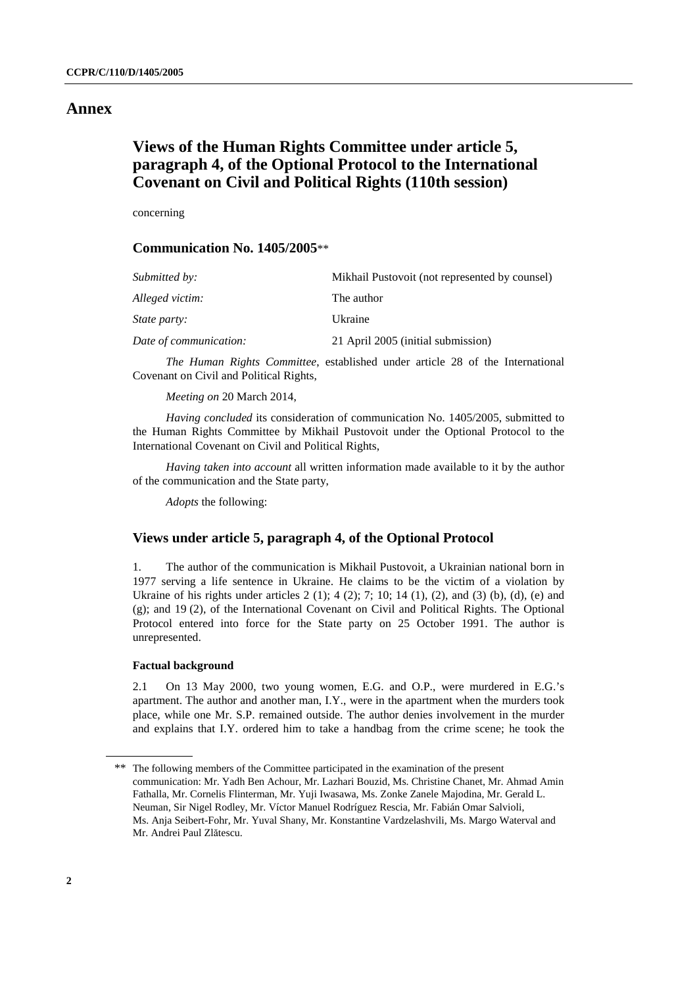#### **Annex**

### **Views of the Human Rights Committee under article 5, paragraph 4, of the Optional Protocol to the International Covenant on Civil and Political Rights (110th session)**

concerning

#### **Communication No. 1405/2005**\*\*

| Submitted by:          | Mikhail Pustovoit (not represented by counsel) |
|------------------------|------------------------------------------------|
| Alleged victim:        | The author                                     |
| <i>State party:</i>    | Ukraine                                        |
| Date of communication: | 21 April 2005 (initial submission)             |

*The Human Rights Committee*, established under article 28 of the International Covenant on Civil and Political Rights,

*Meeting on* 20 March 2014,

*Having concluded* its consideration of communication No. 1405/2005, submitted to the Human Rights Committee by Mikhail Pustovoit under the Optional Protocol to the International Covenant on Civil and Political Rights,

*Having taken into account* all written information made available to it by the author of the communication and the State party,

*Adopts* the following:

#### **Views under article 5, paragraph 4, of the Optional Protocol**

1. The author of the communication is Mikhail Pustovoit, a Ukrainian national born in 1977 serving a life sentence in Ukraine. He claims to be the victim of a violation by Ukraine of his rights under articles  $2(1)$ ;  $4(2)$ ;  $7$ ;  $10$ ;  $14(1)$ ,  $(2)$ , and  $(3)$   $(b)$ ,  $(d)$ ,  $(e)$  and (g); and 19 (2), of the International Covenant on Civil and Political Rights. The Optional Protocol entered into force for the State party on 25 October 1991. The author is unrepresented.

#### **Factual background**

2.1 On 13 May 2000, two young women, E.G. and O.P., were murdered in E.G.'s apartment. The author and another man, I.Y., were in the apartment when the murders took place, while one Mr. S.P. remained outside. The author denies involvement in the murder and explains that I.Y. ordered him to take a handbag from the crime scene; he took the

<sup>\*\*</sup> The following members of the Committee participated in the examination of the present communication: Mr. Yadh Ben Achour, Mr. Lazhari Bouzid, Ms. Christine Chanet, Mr. Ahmad Amin Fathalla, Mr. Cornelis Flinterman, Mr. Yuji Iwasawa, Ms. Zonke Zanele Majodina, Mr. Gerald L. Neuman, Sir Nigel Rodley, Mr. Víctor Manuel Rodríguez Rescia, Mr. Fabián Omar Salvioli, Ms. Anja Seibert-Fohr, Mr. Yuval Shany, Mr. Konstantine Vardzelashvili, Ms. Margo Waterval and Mr. Andrei Paul Zlătescu.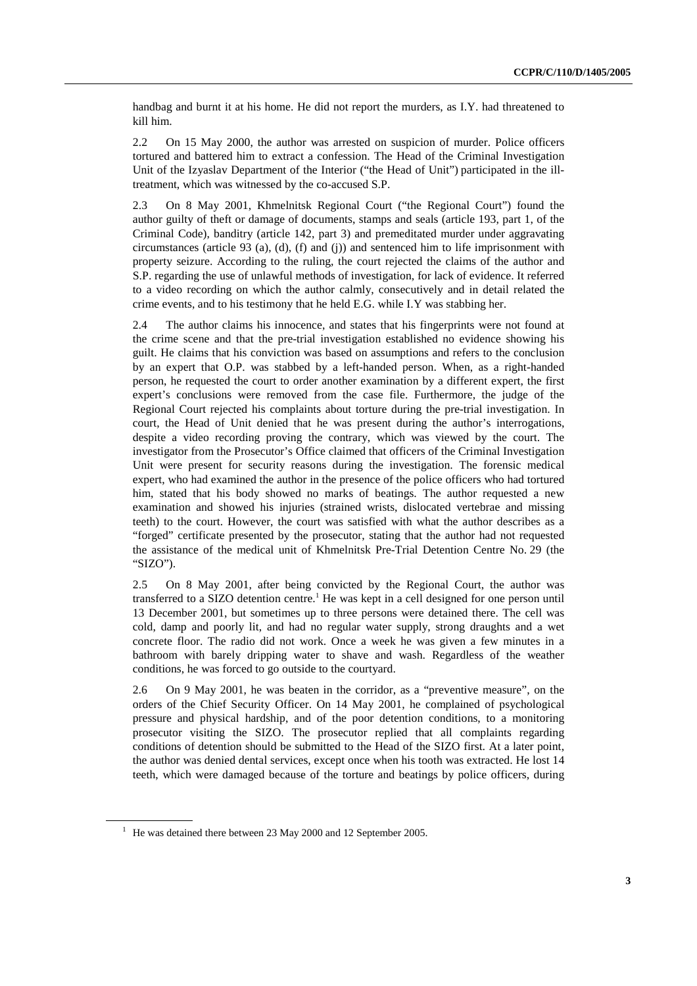handbag and burnt it at his home. He did not report the murders, as I.Y. had threatened to kill him.

2.2 On 15 May 2000, the author was arrested on suspicion of murder. Police officers tortured and battered him to extract a confession. The Head of the Criminal Investigation Unit of the Izyaslav Department of the Interior ("the Head of Unit") participated in the illtreatment, which was witnessed by the co-accused S.P.

2.3 On 8 May 2001, Khmelnitsk Regional Court ("the Regional Court") found the author guilty of theft or damage of documents, stamps and seals (article 193, part 1, of the Criminal Code), banditry (article 142, part 3) and premeditated murder under aggravating circumstances (article 93 (a), (d), (f) and (j)) and sentenced him to life imprisonment with property seizure. According to the ruling, the court rejected the claims of the author and S.P. regarding the use of unlawful methods of investigation, for lack of evidence. It referred to a video recording on which the author calmly, consecutively and in detail related the crime events, and to his testimony that he held E.G. while I.Y was stabbing her.

2.4 The author claims his innocence, and states that his fingerprints were not found at the crime scene and that the pre-trial investigation established no evidence showing his guilt. He claims that his conviction was based on assumptions and refers to the conclusion by an expert that O.P. was stabbed by a left-handed person. When, as a right-handed person, he requested the court to order another examination by a different expert, the first expert's conclusions were removed from the case file. Furthermore, the judge of the Regional Court rejected his complaints about torture during the pre-trial investigation. In court, the Head of Unit denied that he was present during the author's interrogations, despite a video recording proving the contrary, which was viewed by the court. The investigator from the Prosecutor's Office claimed that officers of the Criminal Investigation Unit were present for security reasons during the investigation. The forensic medical expert, who had examined the author in the presence of the police officers who had tortured him, stated that his body showed no marks of beatings. The author requested a new examination and showed his injuries (strained wrists, dislocated vertebrae and missing teeth) to the court. However, the court was satisfied with what the author describes as a "forged" certificate presented by the prosecutor, stating that the author had not requested the assistance of the medical unit of Khmelnitsk Pre-Trial Detention Centre No. 29 (the "SIZO").

2.5 On 8 May 2001, after being convicted by the Regional Court, the author was transferred to a SIZO detention centre.<sup>1</sup> He was kept in a cell designed for one person until 13 December 2001, but sometimes up to three persons were detained there. The cell was cold, damp and poorly lit, and had no regular water supply, strong draughts and a wet concrete floor. The radio did not work. Once a week he was given a few minutes in a bathroom with barely dripping water to shave and wash. Regardless of the weather conditions, he was forced to go outside to the courtyard.

2.6 On 9 May 2001, he was beaten in the corridor, as a "preventive measure", on the orders of the Chief Security Officer. On 14 May 2001, he complained of psychological pressure and physical hardship, and of the poor detention conditions, to a monitoring prosecutor visiting the SIZO. The prosecutor replied that all complaints regarding conditions of detention should be submitted to the Head of the SIZO first. At a later point, the author was denied dental services, except once when his tooth was extracted. He lost 14 teeth, which were damaged because of the torture and beatings by police officers, during

 $1$  He was detained there between 23 May 2000 and 12 September 2005.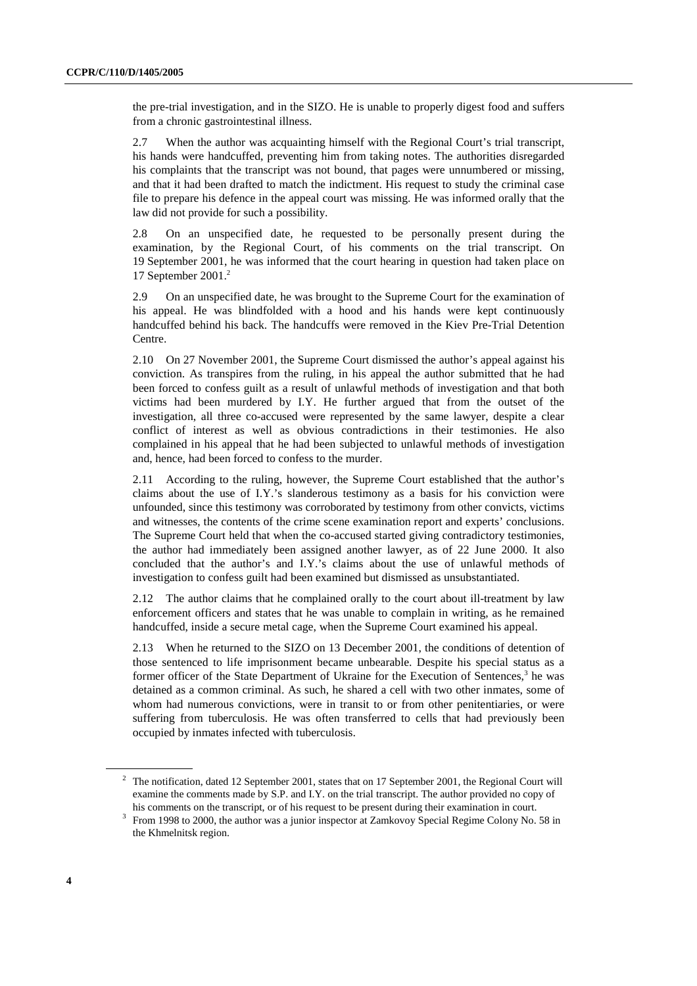the pre-trial investigation, and in the SIZO. He is unable to properly digest food and suffers from a chronic gastrointestinal illness.

2.7 When the author was acquainting himself with the Regional Court's trial transcript, his hands were handcuffed, preventing him from taking notes. The authorities disregarded his complaints that the transcript was not bound, that pages were unnumbered or missing, and that it had been drafted to match the indictment. His request to study the criminal case file to prepare his defence in the appeal court was missing. He was informed orally that the law did not provide for such a possibility.

2.8 On an unspecified date, he requested to be personally present during the examination, by the Regional Court, of his comments on the trial transcript. On 19 September 2001, he was informed that the court hearing in question had taken place on 17 September 2001.2

2.9 On an unspecified date, he was brought to the Supreme Court for the examination of his appeal. He was blindfolded with a hood and his hands were kept continuously handcuffed behind his back. The handcuffs were removed in the Kiev Pre-Trial Detention Centre.

2.10 On 27 November 2001, the Supreme Court dismissed the author's appeal against his conviction. As transpires from the ruling, in his appeal the author submitted that he had been forced to confess guilt as a result of unlawful methods of investigation and that both victims had been murdered by I.Y. He further argued that from the outset of the investigation, all three co-accused were represented by the same lawyer, despite a clear conflict of interest as well as obvious contradictions in their testimonies. He also complained in his appeal that he had been subjected to unlawful methods of investigation and, hence, had been forced to confess to the murder.

2.11 According to the ruling, however, the Supreme Court established that the author's claims about the use of I.Y.'s slanderous testimony as a basis for his conviction were unfounded, since this testimony was corroborated by testimony from other convicts, victims and witnesses, the contents of the crime scene examination report and experts' conclusions. The Supreme Court held that when the co-accused started giving contradictory testimonies, the author had immediately been assigned another lawyer, as of 22 June 2000. It also concluded that the author's and I.Y.'s claims about the use of unlawful methods of investigation to confess guilt had been examined but dismissed as unsubstantiated.

2.12 The author claims that he complained orally to the court about ill-treatment by law enforcement officers and states that he was unable to complain in writing, as he remained handcuffed, inside a secure metal cage, when the Supreme Court examined his appeal.

2.13 When he returned to the SIZO on 13 December 2001, the conditions of detention of those sentenced to life imprisonment became unbearable. Despite his special status as a former officer of the State Department of Ukraine for the Execution of Sentences,<sup>3</sup> he was detained as a common criminal. As such, he shared a cell with two other inmates, some of whom had numerous convictions, were in transit to or from other penitentiaries, or were suffering from tuberculosis. He was often transferred to cells that had previously been occupied by inmates infected with tuberculosis.

<sup>&</sup>lt;sup>2</sup> The notification, dated 12 September 2001, states that on 17 September 2001, the Regional Court will examine the comments made by S.P. and I.Y. on the trial transcript. The author provided no copy of

his comments on the transcript, or of his request to be present during their examination in court.<br><sup>3</sup> From 1998 to 2000, the author was a junior inspector at Zamkovoy Special Regime Colony No. 58 in the Khmelnitsk region.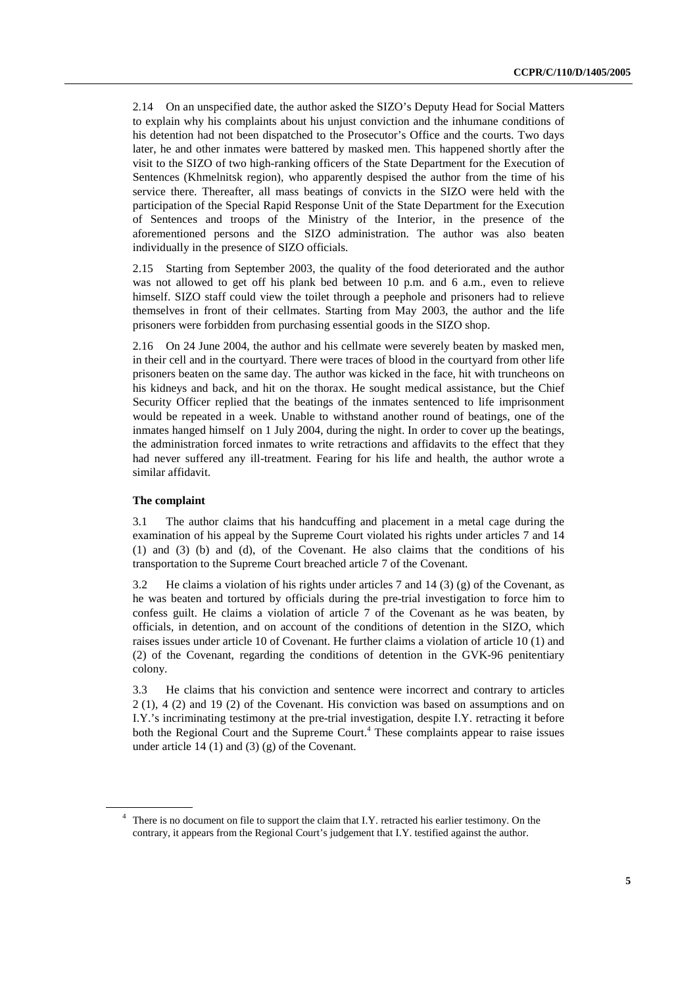2.14 On an unspecified date, the author asked the SIZO's Deputy Head for Social Matters to explain why his complaints about his unjust conviction and the inhumane conditions of his detention had not been dispatched to the Prosecutor's Office and the courts. Two days later, he and other inmates were battered by masked men. This happened shortly after the visit to the SIZO of two high-ranking officers of the State Department for the Execution of Sentences (Khmelnitsk region), who apparently despised the author from the time of his service there. Thereafter, all mass beatings of convicts in the SIZO were held with the participation of the Special Rapid Response Unit of the State Department for the Execution of Sentences and troops of the Ministry of the Interior, in the presence of the aforementioned persons and the SIZO administration. The author was also beaten individually in the presence of SIZO officials.

2.15 Starting from September 2003, the quality of the food deteriorated and the author was not allowed to get off his plank bed between 10 p.m. and 6 a.m., even to relieve himself. SIZO staff could view the toilet through a peephole and prisoners had to relieve themselves in front of their cellmates. Starting from May 2003, the author and the life prisoners were forbidden from purchasing essential goods in the SIZO shop.

2.16 On 24 June 2004, the author and his cellmate were severely beaten by masked men, in their cell and in the courtyard. There were traces of blood in the courtyard from other life prisoners beaten on the same day. The author was kicked in the face, hit with truncheons on his kidneys and back, and hit on the thorax. He sought medical assistance, but the Chief Security Officer replied that the beatings of the inmates sentenced to life imprisonment would be repeated in a week. Unable to withstand another round of beatings, one of the inmates hanged himself on 1 July 2004, during the night. In order to cover up the beatings, the administration forced inmates to write retractions and affidavits to the effect that they had never suffered any ill-treatment. Fearing for his life and health, the author wrote a similar affidavit.

#### **The complaint**

3.1 The author claims that his handcuffing and placement in a metal cage during the examination of his appeal by the Supreme Court violated his rights under articles 7 and 14 (1) and (3) (b) and (d), of the Covenant. He also claims that the conditions of his transportation to the Supreme Court breached article 7 of the Covenant.

3.2 He claims a violation of his rights under articles 7 and 14 (3) (g) of the Covenant, as he was beaten and tortured by officials during the pre-trial investigation to force him to confess guilt. He claims a violation of article 7 of the Covenant as he was beaten, by officials, in detention, and on account of the conditions of detention in the SIZO, which raises issues under article 10 of Covenant. He further claims a violation of article 10 (1) and (2) of the Covenant, regarding the conditions of detention in the GVK-96 penitentiary colony.

3.3 He claims that his conviction and sentence were incorrect and contrary to articles 2 (1), 4 (2) and 19 (2) of the Covenant. His conviction was based on assumptions and on I.Y.'s incriminating testimony at the pre-trial investigation, despite I.Y. retracting it before both the Regional Court and the Supreme Court.<sup>4</sup> These complaints appear to raise issues under article 14 (1) and (3) (g) of the Covenant.

<sup>&</sup>lt;sup>4</sup> There is no document on file to support the claim that I.Y. retracted his earlier testimony. On the contrary, it appears from the Regional Court's judgement that I.Y. testified against the author.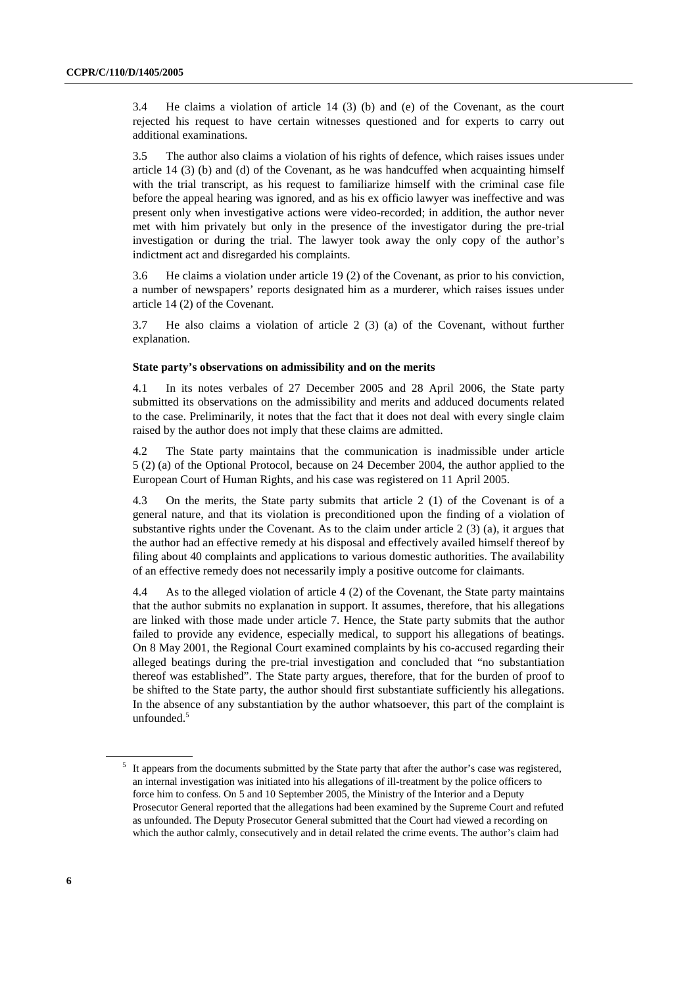3.4 He claims a violation of article 14 (3) (b) and (e) of the Covenant, as the court rejected his request to have certain witnesses questioned and for experts to carry out additional examinations.

3.5 The author also claims a violation of his rights of defence, which raises issues under article 14 (3) (b) and (d) of the Covenant, as he was handcuffed when acquainting himself with the trial transcript, as his request to familiarize himself with the criminal case file before the appeal hearing was ignored, and as his ex officio lawyer was ineffective and was present only when investigative actions were video-recorded; in addition, the author never met with him privately but only in the presence of the investigator during the pre-trial investigation or during the trial. The lawyer took away the only copy of the author's indictment act and disregarded his complaints.

3.6 He claims a violation under article 19 (2) of the Covenant, as prior to his conviction, a number of newspapers' reports designated him as a murderer, which raises issues under article 14 (2) of the Covenant.

3.7 He also claims a violation of article 2 (3) (a) of the Covenant, without further explanation.

#### **State party's observations on admissibility and on the merits**

4.1 In its notes verbales of 27 December 2005 and 28 April 2006, the State party submitted its observations on the admissibility and merits and adduced documents related to the case. Preliminarily, it notes that the fact that it does not deal with every single claim raised by the author does not imply that these claims are admitted.

4.2 The State party maintains that the communication is inadmissible under article 5 (2) (a) of the Optional Protocol, because on 24 December 2004, the author applied to the European Court of Human Rights, and his case was registered on 11 April 2005.

4.3 On the merits, the State party submits that article 2 (1) of the Covenant is of a general nature, and that its violation is preconditioned upon the finding of a violation of substantive rights under the Covenant. As to the claim under article  $2(3)(a)$ , it argues that the author had an effective remedy at his disposal and effectively availed himself thereof by filing about 40 complaints and applications to various domestic authorities. The availability of an effective remedy does not necessarily imply a positive outcome for claimants.

4.4 As to the alleged violation of article 4 (2) of the Covenant, the State party maintains that the author submits no explanation in support. It assumes, therefore, that his allegations are linked with those made under article 7. Hence, the State party submits that the author failed to provide any evidence, especially medical, to support his allegations of beatings. On 8 May 2001, the Regional Court examined complaints by his co-accused regarding their alleged beatings during the pre-trial investigation and concluded that "no substantiation thereof was established". The State party argues, therefore, that for the burden of proof to be shifted to the State party, the author should first substantiate sufficiently his allegations. In the absence of any substantiation by the author whatsoever, this part of the complaint is unfounded.<sup>5</sup>

<sup>&</sup>lt;sup>5</sup> It appears from the documents submitted by the State party that after the author's case was registered, an internal investigation was initiated into his allegations of ill-treatment by the police officers to force him to confess. On 5 and 10 September 2005, the Ministry of the Interior and a Deputy Prosecutor General reported that the allegations had been examined by the Supreme Court and refuted as unfounded. The Deputy Prosecutor General submitted that the Court had viewed a recording on which the author calmly, consecutively and in detail related the crime events. The author's claim had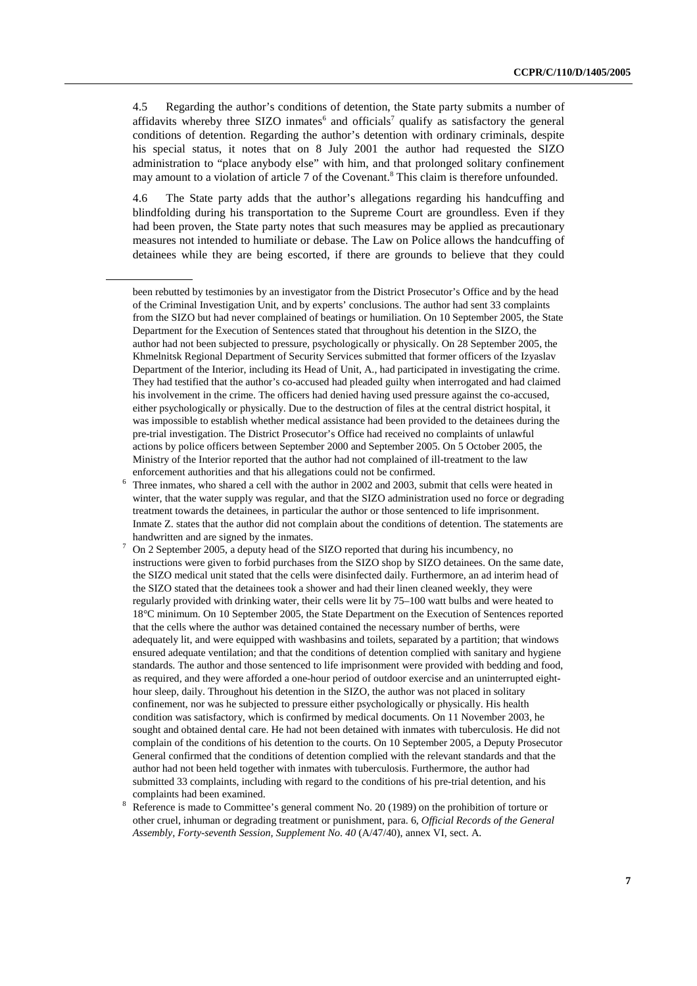4.5 Regarding the author's conditions of detention, the State party submits a number of affidavits whereby three SIZO inmates<sup>6</sup> and officials<sup>7</sup> qualify as satisfactory the general conditions of detention. Regarding the author's detention with ordinary criminals, despite his special status, it notes that on 8 July 2001 the author had requested the SIZO administration to "place anybody else" with him, and that prolonged solitary confinement may amount to a violation of article 7 of the Covenant.<sup>8</sup> This claim is therefore unfounded.

4.6 The State party adds that the author's allegations regarding his handcuffing and blindfolding during his transportation to the Supreme Court are groundless. Even if they had been proven, the State party notes that such measures may be applied as precautionary measures not intended to humiliate or debase. The Law on Police allows the handcuffing of detainees while they are being escorted, if there are grounds to believe that they could

 Reference is made to Committee's general comment No. 20 (1989) on the prohibition of torture or other cruel, inhuman or degrading treatment or punishment, para. 6, *Official Records of the General Assembly, Forty-seventh Session, Supplement No. 40* (A/47/40), annex VI, sect. A.

been rebutted by testimonies by an investigator from the District Prosecutor's Office and by the head of the Criminal Investigation Unit, and by experts' conclusions. The author had sent 33 complaints from the SIZO but had never complained of beatings or humiliation. On 10 September 2005, the State Department for the Execution of Sentences stated that throughout his detention in the SIZO, the author had not been subjected to pressure, psychologically or physically. On 28 September 2005, the Khmelnitsk Regional Department of Security Services submitted that former officers of the Izyaslav Department of the Interior, including its Head of Unit, A., had participated in investigating the crime. They had testified that the author's co-accused had pleaded guilty when interrogated and had claimed his involvement in the crime. The officers had denied having used pressure against the co-accused, either psychologically or physically. Due to the destruction of files at the central district hospital, it was impossible to establish whether medical assistance had been provided to the detainees during the pre-trial investigation. The District Prosecutor's Office had received no complaints of unlawful actions by police officers between September 2000 and September 2005. On 5 October 2005, the Ministry of the Interior reported that the author had not complained of ill-treatment to the law enforcement authorities and that his allegations could not be confirmed. 6

Three inmates, who shared a cell with the author in 2002 and 2003, submit that cells were heated in winter, that the water supply was regular, and that the SIZO administration used no force or degrading treatment towards the detainees, in particular the author or those sentenced to life imprisonment. Inmate Z. states that the author did not complain about the conditions of detention. The statements are handwritten and are signed by the inmates.<br>  $\frac{7}{2}$  On 2.8 atombar 2005, a daputy hand of the

On 2 September 2005, a deputy head of the SIZO reported that during his incumbency, no instructions were given to forbid purchases from the SIZO shop by SIZO detainees. On the same date, the SIZO medical unit stated that the cells were disinfected daily. Furthermore, an ad interim head of the SIZO stated that the detainees took a shower and had their linen cleaned weekly, they were regularly provided with drinking water, their cells were lit by 75–100 watt bulbs and were heated to 18°C minimum. On 10 September 2005, the State Department on the Execution of Sentences reported that the cells where the author was detained contained the necessary number of berths, were adequately lit, and were equipped with washbasins and toilets, separated by a partition; that windows ensured adequate ventilation; and that the conditions of detention complied with sanitary and hygiene standards. The author and those sentenced to life imprisonment were provided with bedding and food, as required, and they were afforded a one-hour period of outdoor exercise and an uninterrupted eighthour sleep, daily. Throughout his detention in the SIZO, the author was not placed in solitary confinement, nor was he subjected to pressure either psychologically or physically. His health condition was satisfactory, which is confirmed by medical documents. On 11 November 2003, he sought and obtained dental care. He had not been detained with inmates with tuberculosis. He did not complain of the conditions of his detention to the courts. On 10 September 2005, a Deputy Prosecutor General confirmed that the conditions of detention complied with the relevant standards and that the author had not been held together with inmates with tuberculosis. Furthermore, the author had submitted 33 complaints, including with regard to the conditions of his pre-trial detention, and his complaints had been examined.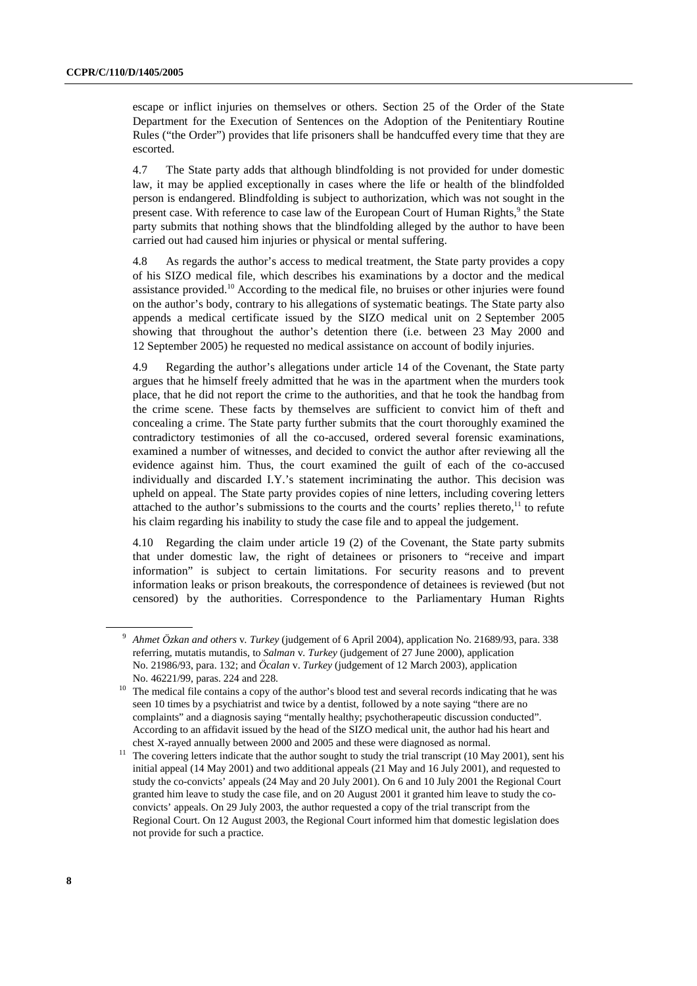escape or inflict injuries on themselves or others. Section 25 of the Order of the State Department for the Execution of Sentences on the Adoption of the Penitentiary Routine Rules ("the Order") provides that life prisoners shall be handcuffed every time that they are escorted.

4.7 The State party adds that although blindfolding is not provided for under domestic law, it may be applied exceptionally in cases where the life or health of the blindfolded person is endangered. Blindfolding is subject to authorization, which was not sought in the present case. With reference to case law of the European Court of Human Rights,<sup>9</sup> the State party submits that nothing shows that the blindfolding alleged by the author to have been carried out had caused him injuries or physical or mental suffering.

4.8 As regards the author's access to medical treatment, the State party provides a copy of his SIZO medical file, which describes his examinations by a doctor and the medical assistance provided.<sup>10</sup> According to the medical file, no bruises or other injuries were found on the author's body, contrary to his allegations of systematic beatings. The State party also appends a medical certificate issued by the SIZO medical unit on 2 September 2005 showing that throughout the author's detention there (i.e. between 23 May 2000 and 12 September 2005) he requested no medical assistance on account of bodily injuries.

4.9 Regarding the author's allegations under article 14 of the Covenant, the State party argues that he himself freely admitted that he was in the apartment when the murders took place, that he did not report the crime to the authorities, and that he took the handbag from the crime scene. These facts by themselves are sufficient to convict him of theft and concealing a crime. The State party further submits that the court thoroughly examined the contradictory testimonies of all the co-accused, ordered several forensic examinations, examined a number of witnesses, and decided to convict the author after reviewing all the evidence against him. Thus, the court examined the guilt of each of the co-accused individually and discarded I.Y.'s statement incriminating the author. This decision was upheld on appeal. The State party provides copies of nine letters, including covering letters attached to the author's submissions to the courts and the courts' replies thereto,<sup>11</sup> to refute his claim regarding his inability to study the case file and to appeal the judgement.

4.10 Regarding the claim under article 19 (2) of the Covenant, the State party submits that under domestic law, the right of detainees or prisoners to "receive and impart information" is subject to certain limitations. For security reasons and to prevent information leaks or prison breakouts, the correspondence of detainees is reviewed (but not censored) by the authorities. Correspondence to the Parliamentary Human Rights

<sup>9</sup> *Ahmet Özkan and others* v*. Turkey* (judgement of 6 April 2004), application No. 21689/93, para. 338 referring, mutatis mutandis, to *Salman* v*. Turkey* (judgement of 27 June 2000), application No. 21986/93, para. 132; and *Öcalan* v. *Turkey* (judgement of 12 March 2003), application No. 46221/99, paras. 224 and 228.<br><sup>10</sup> The medical file contains a copy of the author's blood test and several records indicating that he was

seen 10 times by a psychiatrist and twice by a dentist, followed by a note saying "there are no complaints" and a diagnosis saying "mentally healthy; psychotherapeutic discussion conducted". According to an affidavit issued by the head of the SIZO medical unit, the author had his heart and

chest X-rayed annually between 2000 and 2005 and these were diagnosed as normal. 11 The covering letters indicate that the author sought to study the trial transcript (10 May 2001), sent his initial appeal (14 May 2001) and two additional appeals (21 May and 16 July 2001), and requested to study the co-convicts' appeals (24 May and 20 July 2001). On 6 and 10 July 2001 the Regional Court granted him leave to study the case file, and on 20 August 2001 it granted him leave to study the coconvicts' appeals. On 29 July 2003, the author requested a copy of the trial transcript from the Regional Court. On 12 August 2003, the Regional Court informed him that domestic legislation does not provide for such a practice.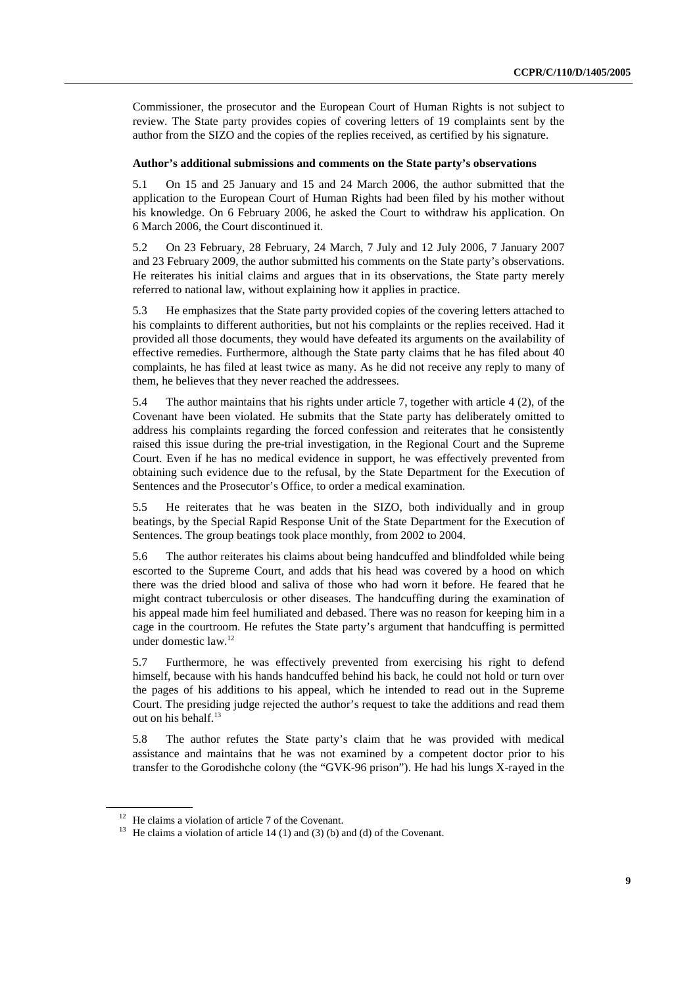Commissioner, the prosecutor and the European Court of Human Rights is not subject to review. The State party provides copies of covering letters of 19 complaints sent by the author from the SIZO and the copies of the replies received, as certified by his signature.

#### **Author's additional submissions and comments on the State party's observations**

5.1 On 15 and 25 January and 15 and 24 March 2006, the author submitted that the application to the European Court of Human Rights had been filed by his mother without his knowledge. On 6 February 2006, he asked the Court to withdraw his application. On 6 March 2006, the Court discontinued it.

5.2 On 23 February, 28 February, 24 March, 7 July and 12 July 2006, 7 January 2007 and 23 February 2009, the author submitted his comments on the State party's observations. He reiterates his initial claims and argues that in its observations, the State party merely referred to national law, without explaining how it applies in practice.

5.3 He emphasizes that the State party provided copies of the covering letters attached to his complaints to different authorities, but not his complaints or the replies received. Had it provided all those documents, they would have defeated its arguments on the availability of effective remedies. Furthermore, although the State party claims that he has filed about 40 complaints, he has filed at least twice as many. As he did not receive any reply to many of them, he believes that they never reached the addressees.

5.4 The author maintains that his rights under article 7, together with article 4 (2), of the Covenant have been violated. He submits that the State party has deliberately omitted to address his complaints regarding the forced confession and reiterates that he consistently raised this issue during the pre-trial investigation, in the Regional Court and the Supreme Court. Even if he has no medical evidence in support, he was effectively prevented from obtaining such evidence due to the refusal, by the State Department for the Execution of Sentences and the Prosecutor's Office, to order a medical examination.

5.5 He reiterates that he was beaten in the SIZO, both individually and in group beatings, by the Special Rapid Response Unit of the State Department for the Execution of Sentences. The group beatings took place monthly, from 2002 to 2004.

5.6 The author reiterates his claims about being handcuffed and blindfolded while being escorted to the Supreme Court, and adds that his head was covered by a hood on which there was the dried blood and saliva of those who had worn it before. He feared that he might contract tuberculosis or other diseases. The handcuffing during the examination of his appeal made him feel humiliated and debased. There was no reason for keeping him in a cage in the courtroom. He refutes the State party's argument that handcuffing is permitted under domestic law.12

5.7 Furthermore, he was effectively prevented from exercising his right to defend himself, because with his hands handcuffed behind his back, he could not hold or turn over the pages of his additions to his appeal, which he intended to read out in the Supreme Court. The presiding judge rejected the author's request to take the additions and read them out on his behalf.<sup>13</sup>

5.8 The author refutes the State party's claim that he was provided with medical assistance and maintains that he was not examined by a competent doctor prior to his transfer to the Gorodishche colony (the "GVK-96 prison"). He had his lungs X-rayed in the

 $12$  He claims a violation of article 7 of the Covenant.

<sup>&</sup>lt;sup>13</sup> He claims a violation of article 14 (1) and (3) (b) and (d) of the Covenant.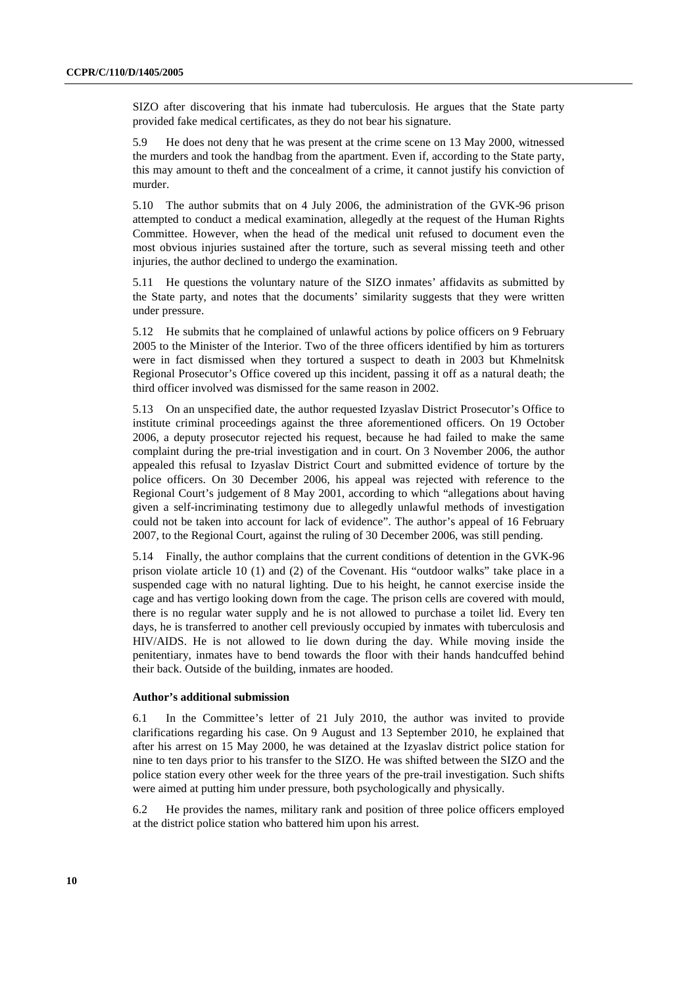SIZO after discovering that his inmate had tuberculosis. He argues that the State party provided fake medical certificates, as they do not bear his signature.

5.9 He does not deny that he was present at the crime scene on 13 May 2000, witnessed the murders and took the handbag from the apartment. Even if, according to the State party, this may amount to theft and the concealment of a crime, it cannot justify his conviction of murder.

5.10 The author submits that on 4 July 2006, the administration of the GVK-96 prison attempted to conduct a medical examination, allegedly at the request of the Human Rights Committee. However, when the head of the medical unit refused to document even the most obvious injuries sustained after the torture, such as several missing teeth and other injuries, the author declined to undergo the examination.

5.11 He questions the voluntary nature of the SIZO inmates' affidavits as submitted by the State party, and notes that the documents' similarity suggests that they were written under pressure.

5.12 He submits that he complained of unlawful actions by police officers on 9 February 2005 to the Minister of the Interior. Two of the three officers identified by him as torturers were in fact dismissed when they tortured a suspect to death in 2003 but Khmelnitsk Regional Prosecutor's Office covered up this incident, passing it off as a natural death; the third officer involved was dismissed for the same reason in 2002.

5.13 On an unspecified date, the author requested Izyaslav District Prosecutor's Office to institute criminal proceedings against the three aforementioned officers. On 19 October 2006, a deputy prosecutor rejected his request, because he had failed to make the same complaint during the pre-trial investigation and in court. On 3 November 2006, the author appealed this refusal to Izyaslav District Court and submitted evidence of torture by the police officers. On 30 December 2006, his appeal was rejected with reference to the Regional Court's judgement of 8 May 2001, according to which "allegations about having given a self-incriminating testimony due to allegedly unlawful methods of investigation could not be taken into account for lack of evidence". The author's appeal of 16 February 2007, to the Regional Court, against the ruling of 30 December 2006, was still pending.

5.14 Finally, the author complains that the current conditions of detention in the GVK-96 prison violate article 10 (1) and (2) of the Covenant. His "outdoor walks" take place in a suspended cage with no natural lighting. Due to his height, he cannot exercise inside the cage and has vertigo looking down from the cage. The prison cells are covered with mould, there is no regular water supply and he is not allowed to purchase a toilet lid. Every ten days, he is transferred to another cell previously occupied by inmates with tuberculosis and HIV/AIDS. He is not allowed to lie down during the day. While moving inside the penitentiary, inmates have to bend towards the floor with their hands handcuffed behind their back. Outside of the building, inmates are hooded.

#### **Author's additional submission**

6.1 In the Committee's letter of 21 July 2010, the author was invited to provide clarifications regarding his case. On 9 August and 13 September 2010, he explained that after his arrest on 15 May 2000, he was detained at the Izyaslav district police station for nine to ten days prior to his transfer to the SIZO. He was shifted between the SIZO and the police station every other week for the three years of the pre-trail investigation. Such shifts were aimed at putting him under pressure, both psychologically and physically.

6.2 He provides the names, military rank and position of three police officers employed at the district police station who battered him upon his arrest.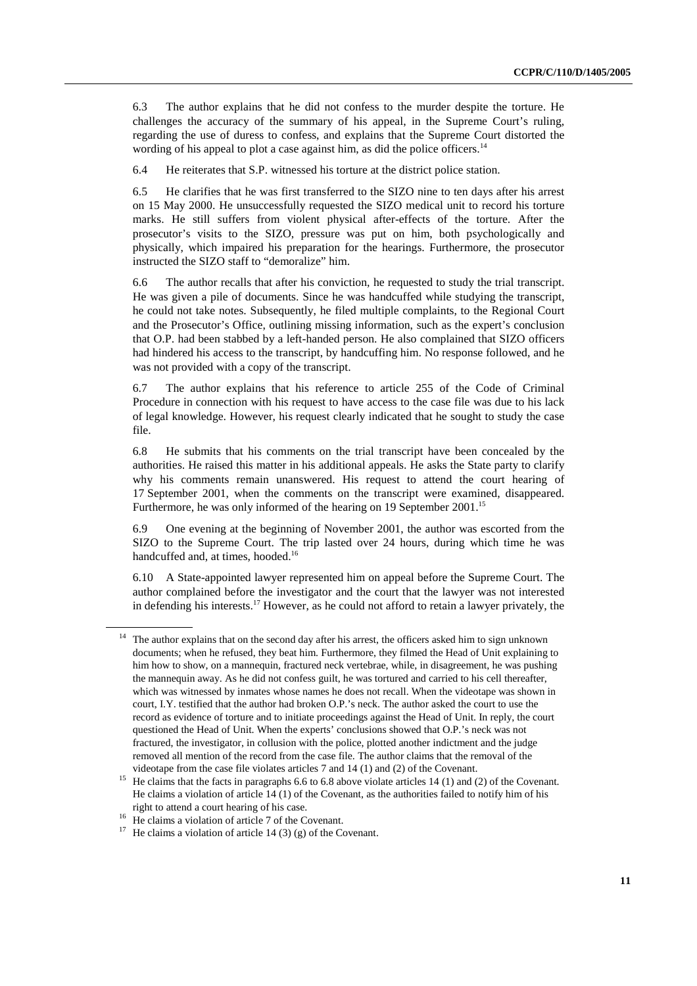6.3 The author explains that he did not confess to the murder despite the torture. He challenges the accuracy of the summary of his appeal, in the Supreme Court's ruling, regarding the use of duress to confess, and explains that the Supreme Court distorted the wording of his appeal to plot a case against him, as did the police officers.<sup>14</sup>

6.4 He reiterates that S.P. witnessed his torture at the district police station.

6.5 He clarifies that he was first transferred to the SIZO nine to ten days after his arrest on 15 May 2000. He unsuccessfully requested the SIZO medical unit to record his torture marks. He still suffers from violent physical after-effects of the torture. After the prosecutor's visits to the SIZO, pressure was put on him, both psychologically and physically, which impaired his preparation for the hearings. Furthermore, the prosecutor instructed the SIZO staff to "demoralize" him.

6.6 The author recalls that after his conviction, he requested to study the trial transcript. He was given a pile of documents. Since he was handcuffed while studying the transcript, he could not take notes. Subsequently, he filed multiple complaints, to the Regional Court and the Prosecutor's Office, outlining missing information, such as the expert's conclusion that O.P. had been stabbed by a left-handed person. He also complained that SIZO officers had hindered his access to the transcript, by handcuffing him. No response followed, and he was not provided with a copy of the transcript.

6.7 The author explains that his reference to article 255 of the Code of Criminal Procedure in connection with his request to have access to the case file was due to his lack of legal knowledge. However, his request clearly indicated that he sought to study the case file.

6.8 He submits that his comments on the trial transcript have been concealed by the authorities. He raised this matter in his additional appeals. He asks the State party to clarify why his comments remain unanswered. His request to attend the court hearing of 17 September 2001, when the comments on the transcript were examined, disappeared. Furthermore, he was only informed of the hearing on 19 September 2001.<sup>15</sup>

6.9 One evening at the beginning of November 2001, the author was escorted from the SIZO to the Supreme Court. The trip lasted over 24 hours, during which time he was handcuffed and, at times, hooded.<sup>16</sup>

6.10 A State-appointed lawyer represented him on appeal before the Supreme Court. The author complained before the investigator and the court that the lawyer was not interested in defending his interests.<sup>17</sup> However, as he could not afford to retain a lawyer privately, the

<sup>14</sup> The author explains that on the second day after his arrest, the officers asked him to sign unknown documents; when he refused, they beat him. Furthermore, they filmed the Head of Unit explaining to him how to show, on a mannequin, fractured neck vertebrae, while, in disagreement, he was pushing the mannequin away. As he did not confess guilt, he was tortured and carried to his cell thereafter, which was witnessed by inmates whose names he does not recall. When the videotape was shown in court, I.Y. testified that the author had broken O.P.'s neck. The author asked the court to use the record as evidence of torture and to initiate proceedings against the Head of Unit. In reply, the court questioned the Head of Unit. When the experts' conclusions showed that O.P.'s neck was not fractured, the investigator, in collusion with the police, plotted another indictment and the judge removed all mention of the record from the case file. The author claims that the removal of the

videotape from the case file violates articles 7 and 14 (1) and (2) of the Covenant.<br><sup>15</sup> He claims that the facts in paragraphs 6.6 to 6.8 above violate articles 14 (1) and (2) of the Covenant. He claims a violation of article 14 (1) of the Covenant, as the authorities failed to notify him of his right to attend a court hearing of his case. 16 He claims a violation of article 7 of the Covenant.

<sup>&</sup>lt;sup>17</sup> He claims a violation of article 14 (3) (g) of the Covenant.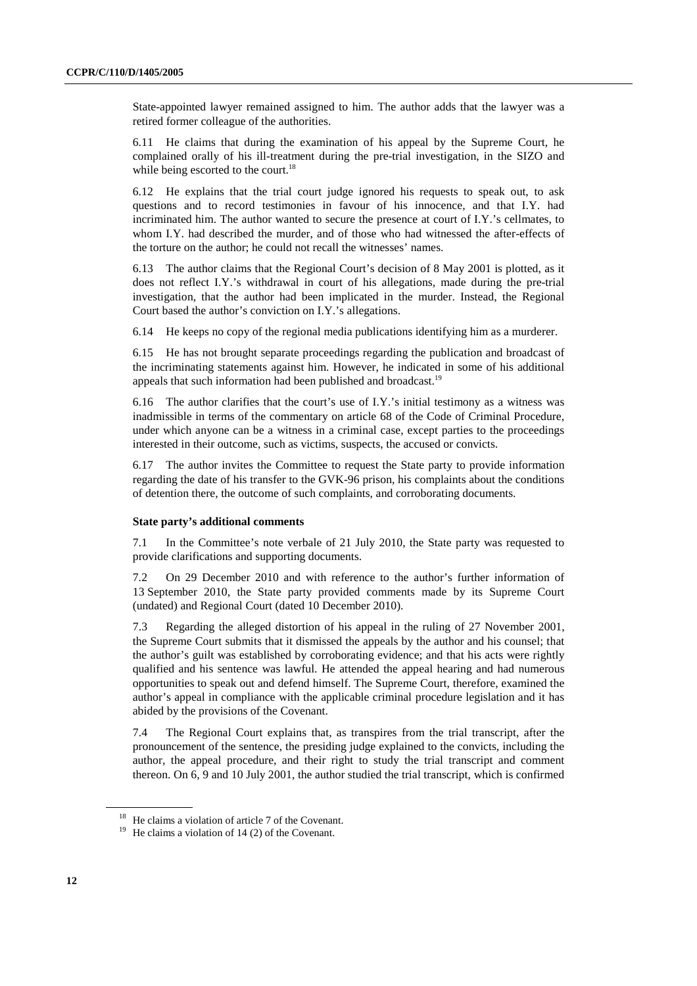State-appointed lawyer remained assigned to him. The author adds that the lawyer was a retired former colleague of the authorities.

6.11 He claims that during the examination of his appeal by the Supreme Court, he complained orally of his ill-treatment during the pre-trial investigation, in the SIZO and while being escorted to the court.<sup>18</sup>

6.12 He explains that the trial court judge ignored his requests to speak out, to ask questions and to record testimonies in favour of his innocence, and that I.Y. had incriminated him. The author wanted to secure the presence at court of I.Y.'s cellmates, to whom I.Y. had described the murder, and of those who had witnessed the after-effects of the torture on the author; he could not recall the witnesses' names.

6.13 The author claims that the Regional Court's decision of 8 May 2001 is plotted, as it does not reflect I.Y.'s withdrawal in court of his allegations, made during the pre-trial investigation, that the author had been implicated in the murder. Instead, the Regional Court based the author's conviction on I.Y.'s allegations.

6.14 He keeps no copy of the regional media publications identifying him as a murderer.

6.15 He has not brought separate proceedings regarding the publication and broadcast of the incriminating statements against him. However, he indicated in some of his additional appeals that such information had been published and broadcast.<sup>19</sup>

6.16 The author clarifies that the court's use of I.Y.'s initial testimony as a witness was inadmissible in terms of the commentary on article 68 of the Code of Criminal Procedure, under which anyone can be a witness in a criminal case, except parties to the proceedings interested in their outcome, such as victims, suspects, the accused or convicts.

6.17 The author invites the Committee to request the State party to provide information regarding the date of his transfer to the GVK-96 prison, his complaints about the conditions of detention there, the outcome of such complaints, and corroborating documents.

#### **State party's additional comments**

7.1 In the Committee's note verbale of 21 July 2010, the State party was requested to provide clarifications and supporting documents.

7.2 On 29 December 2010 and with reference to the author's further information of 13 September 2010, the State party provided comments made by its Supreme Court (undated) and Regional Court (dated 10 December 2010).

7.3 Regarding the alleged distortion of his appeal in the ruling of 27 November 2001, the Supreme Court submits that it dismissed the appeals by the author and his counsel; that the author's guilt was established by corroborating evidence; and that his acts were rightly qualified and his sentence was lawful. He attended the appeal hearing and had numerous opportunities to speak out and defend himself. The Supreme Court, therefore, examined the author's appeal in compliance with the applicable criminal procedure legislation and it has abided by the provisions of the Covenant.

7.4 The Regional Court explains that, as transpires from the trial transcript, after the pronouncement of the sentence, the presiding judge explained to the convicts, including the author, the appeal procedure, and their right to study the trial transcript and comment thereon. On 6, 9 and 10 July 2001, the author studied the trial transcript, which is confirmed

<sup>&</sup>lt;sup>18</sup> He claims a violation of article 7 of the Covenant.

<sup>&</sup>lt;sup>19</sup> He claims a violation of 14 (2) of the Covenant.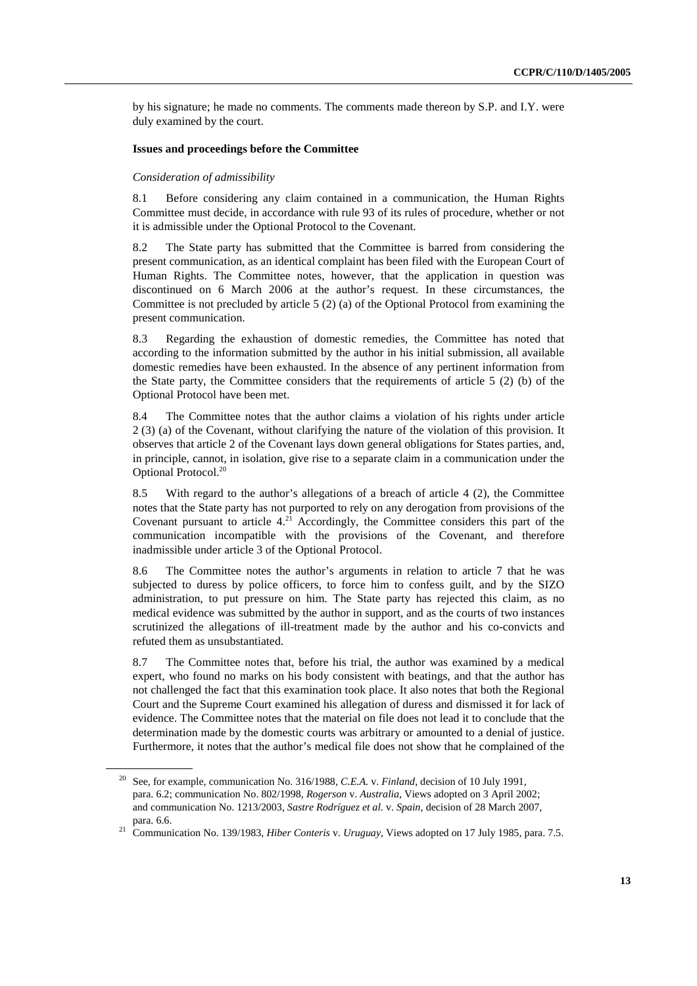by his signature; he made no comments. The comments made thereon by S.P. and I.Y. were duly examined by the court.

#### **Issues and proceedings before the Committee**

#### *Consideration of admissibility*

8.1 Before considering any claim contained in a communication, the Human Rights Committee must decide, in accordance with rule 93 of its rules of procedure, whether or not it is admissible under the Optional Protocol to the Covenant.

8.2 The State party has submitted that the Committee is barred from considering the present communication, as an identical complaint has been filed with the European Court of Human Rights. The Committee notes, however, that the application in question was discontinued on 6 March 2006 at the author's request. In these circumstances, the Committee is not precluded by article 5 (2) (a) of the Optional Protocol from examining the present communication.

8.3 Regarding the exhaustion of domestic remedies, the Committee has noted that according to the information submitted by the author in his initial submission, all available domestic remedies have been exhausted. In the absence of any pertinent information from the State party, the Committee considers that the requirements of article 5 (2) (b) of the Optional Protocol have been met.

8.4 The Committee notes that the author claims a violation of his rights under article 2 (3) (a) of the Covenant, without clarifying the nature of the violation of this provision. It observes that article 2 of the Covenant lays down general obligations for States parties, and, in principle, cannot, in isolation, give rise to a separate claim in a communication under the Optional Protocol.<sup>20</sup>

8.5 With regard to the author's allegations of a breach of article 4 (2), the Committee notes that the State party has not purported to rely on any derogation from provisions of the Covenant pursuant to article  $4.<sup>21</sup>$  Accordingly, the Committee considers this part of the communication incompatible with the provisions of the Covenant, and therefore inadmissible under article 3 of the Optional Protocol.

8.6 The Committee notes the author's arguments in relation to article 7 that he was subjected to duress by police officers, to force him to confess guilt, and by the SIZO administration, to put pressure on him. The State party has rejected this claim, as no medical evidence was submitted by the author in support, and as the courts of two instances scrutinized the allegations of ill-treatment made by the author and his co-convicts and refuted them as unsubstantiated.

8.7 The Committee notes that, before his trial, the author was examined by a medical expert, who found no marks on his body consistent with beatings, and that the author has not challenged the fact that this examination took place. It also notes that both the Regional Court and the Supreme Court examined his allegation of duress and dismissed it for lack of evidence. The Committee notes that the material on file does not lead it to conclude that the determination made by the domestic courts was arbitrary or amounted to a denial of justice. Furthermore, it notes that the author's medical file does not show that he complained of the

<sup>20</sup> See, for example, communication No. 316/1988, *C.E.A.* v. *Finland*, decision of 10 July 1991, para. 6.2; communication No. 802/1998, *Rogerson* v. *Australia,* Views adopted on 3 April 2002; and communication No. 1213/2003, *Sastre Rodríguez et al.* v. *Spain*, decision of 28 March 2007, para. 6.6. 21 Communication No. 139/1983, *Hiber Conteris* v. *Uruguay*, Views adopted on 17 July 1985, para. 7.5.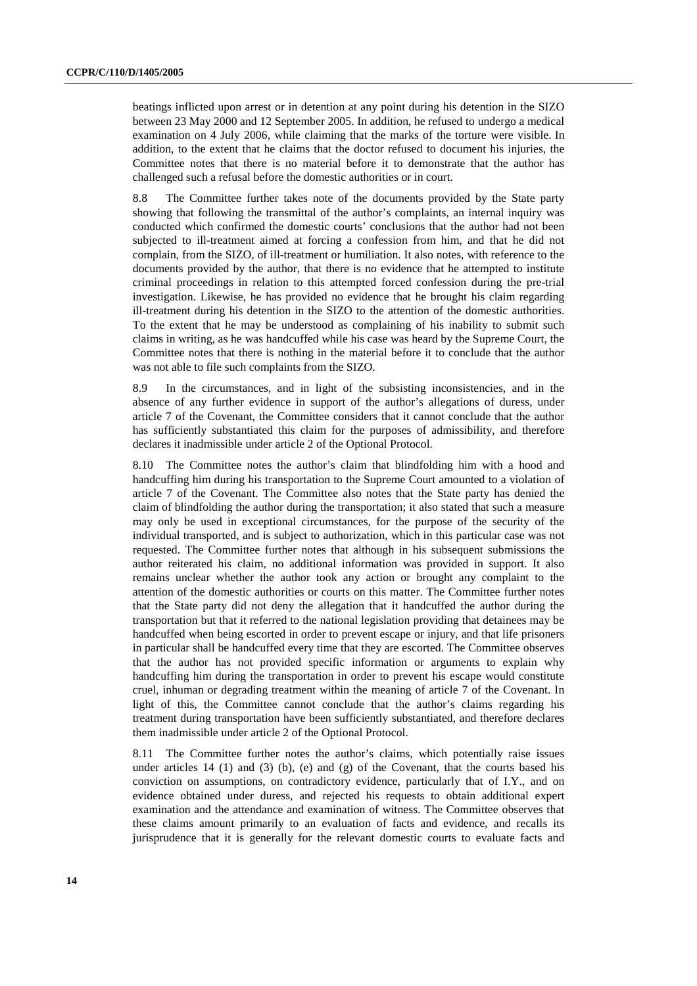beatings inflicted upon arrest or in detention at any point during his detention in the SIZO between 23 May 2000 and 12 September 2005. In addition, he refused to undergo a medical examination on 4 July 2006, while claiming that the marks of the torture were visible. In addition, to the extent that he claims that the doctor refused to document his injuries, the Committee notes that there is no material before it to demonstrate that the author has challenged such a refusal before the domestic authorities or in court.

8.8 The Committee further takes note of the documents provided by the State party showing that following the transmittal of the author's complaints, an internal inquiry was conducted which confirmed the domestic courts' conclusions that the author had not been subjected to ill-treatment aimed at forcing a confession from him, and that he did not complain, from the SIZO, of ill-treatment or humiliation. It also notes, with reference to the documents provided by the author, that there is no evidence that he attempted to institute criminal proceedings in relation to this attempted forced confession during the pre-trial investigation. Likewise, he has provided no evidence that he brought his claim regarding ill-treatment during his detention in the SIZO to the attention of the domestic authorities. To the extent that he may be understood as complaining of his inability to submit such claims in writing, as he was handcuffed while his case was heard by the Supreme Court, the Committee notes that there is nothing in the material before it to conclude that the author was not able to file such complaints from the SIZO.

8.9 In the circumstances, and in light of the subsisting inconsistencies, and in the absence of any further evidence in support of the author's allegations of duress, under article 7 of the Covenant, the Committee considers that it cannot conclude that the author has sufficiently substantiated this claim for the purposes of admissibility, and therefore declares it inadmissible under article 2 of the Optional Protocol.

8.10 The Committee notes the author's claim that blindfolding him with a hood and handcuffing him during his transportation to the Supreme Court amounted to a violation of article 7 of the Covenant. The Committee also notes that the State party has denied the claim of blindfolding the author during the transportation; it also stated that such a measure may only be used in exceptional circumstances, for the purpose of the security of the individual transported, and is subject to authorization, which in this particular case was not requested. The Committee further notes that although in his subsequent submissions the author reiterated his claim, no additional information was provided in support. It also remains unclear whether the author took any action or brought any complaint to the attention of the domestic authorities or courts on this matter. The Committee further notes that the State party did not deny the allegation that it handcuffed the author during the transportation but that it referred to the national legislation providing that detainees may be handcuffed when being escorted in order to prevent escape or injury, and that life prisoners in particular shall be handcuffed every time that they are escorted. The Committee observes that the author has not provided specific information or arguments to explain why handcuffing him during the transportation in order to prevent his escape would constitute cruel, inhuman or degrading treatment within the meaning of article 7 of the Covenant. In light of this, the Committee cannot conclude that the author's claims regarding his treatment during transportation have been sufficiently substantiated, and therefore declares them inadmissible under article 2 of the Optional Protocol.

8.11 The Committee further notes the author's claims, which potentially raise issues under articles  $14 \t(1)$  and  $(3) \t(b)$ , (e) and  $(g)$  of the Covenant, that the courts based his conviction on assumptions, on contradictory evidence, particularly that of I.Y., and on evidence obtained under duress, and rejected his requests to obtain additional expert examination and the attendance and examination of witness. The Committee observes that these claims amount primarily to an evaluation of facts and evidence, and recalls its jurisprudence that it is generally for the relevant domestic courts to evaluate facts and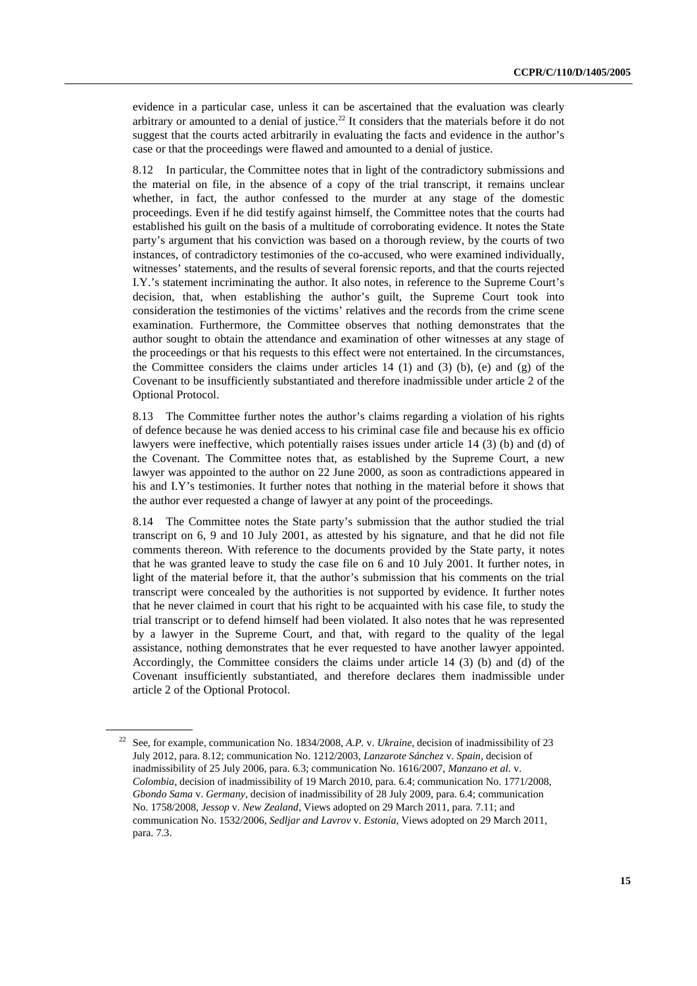evidence in a particular case, unless it can be ascertained that the evaluation was clearly arbitrary or amounted to a denial of justice.<sup>22</sup> It considers that the materials before it do not suggest that the courts acted arbitrarily in evaluating the facts and evidence in the author's case or that the proceedings were flawed and amounted to a denial of justice.

8.12 In particular, the Committee notes that in light of the contradictory submissions and the material on file, in the absence of a copy of the trial transcript, it remains unclear whether, in fact, the author confessed to the murder at any stage of the domestic proceedings. Even if he did testify against himself, the Committee notes that the courts had established his guilt on the basis of a multitude of corroborating evidence. It notes the State party's argument that his conviction was based on a thorough review, by the courts of two instances, of contradictory testimonies of the co-accused, who were examined individually, witnesses' statements, and the results of several forensic reports, and that the courts rejected I.Y.'s statement incriminating the author. It also notes, in reference to the Supreme Court's decision, that, when establishing the author's guilt, the Supreme Court took into consideration the testimonies of the victims' relatives and the records from the crime scene examination. Furthermore, the Committee observes that nothing demonstrates that the author sought to obtain the attendance and examination of other witnesses at any stage of the proceedings or that his requests to this effect were not entertained. In the circumstances, the Committee considers the claims under articles  $14 \, (1)$  and  $(3) \, (b)$ , (e) and  $(g)$  of the Covenant to be insufficiently substantiated and therefore inadmissible under article 2 of the Optional Protocol.

8.13 The Committee further notes the author's claims regarding a violation of his rights of defence because he was denied access to his criminal case file and because his ex officio lawyers were ineffective, which potentially raises issues under article 14 (3) (b) and (d) of the Covenant. The Committee notes that, as established by the Supreme Court, a new lawyer was appointed to the author on 22 June 2000, as soon as contradictions appeared in his and I.Y's testimonies. It further notes that nothing in the material before it shows that the author ever requested a change of lawyer at any point of the proceedings.

8.14 The Committee notes the State party's submission that the author studied the trial transcript on 6, 9 and 10 July 2001, as attested by his signature, and that he did not file comments thereon. With reference to the documents provided by the State party, it notes that he was granted leave to study the case file on 6 and 10 July 2001. It further notes, in light of the material before it, that the author's submission that his comments on the trial transcript were concealed by the authorities is not supported by evidence. It further notes that he never claimed in court that his right to be acquainted with his case file, to study the trial transcript or to defend himself had been violated. It also notes that he was represented by a lawyer in the Supreme Court, and that, with regard to the quality of the legal assistance, nothing demonstrates that he ever requested to have another lawyer appointed. Accordingly, the Committee considers the claims under article 14 (3) (b) and (d) of the Covenant insufficiently substantiated, and therefore declares them inadmissible under article 2 of the Optional Protocol.

<sup>22</sup> See, for example, communication No. 1834/2008, *A.P.* v. *Ukraine*, decision of inadmissibility of 23 July 2012, para. 8.12; communication No. 1212/2003, *Lanzarote Sánchez* v. *Spain*, decision of inadmissibility of 25 July 2006, para. 6.3; communication No. 1616/2007, *Manzano et al.* v. *Colombia*, decision of inadmissibility of 19 March 2010, para. 6.4; communication No. 1771/2008, *Gbondo Sama* v. *Germany*, decision of inadmissibility of 28 July 2009, para. 6.4; communication No. 1758/2008, *Jessop* v. *New Zealand*, Views adopted on 29 March 2011, para. 7.11; and communication No. 1532/2006, *Sedljar and Lavrov* v. *Estonia*, Views adopted on 29 March 2011, para. 7.3.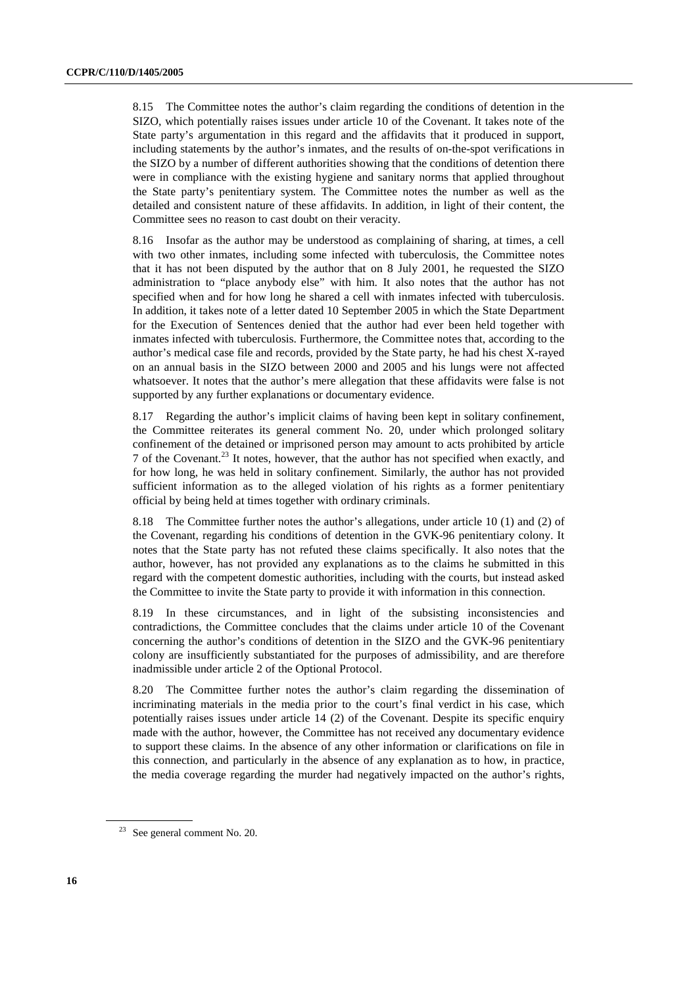8.15 The Committee notes the author's claim regarding the conditions of detention in the SIZO, which potentially raises issues under article 10 of the Covenant. It takes note of the State party's argumentation in this regard and the affidavits that it produced in support, including statements by the author's inmates, and the results of on-the-spot verifications in the SIZO by a number of different authorities showing that the conditions of detention there were in compliance with the existing hygiene and sanitary norms that applied throughout the State party's penitentiary system. The Committee notes the number as well as the detailed and consistent nature of these affidavits. In addition, in light of their content, the Committee sees no reason to cast doubt on their veracity.

8.16 Insofar as the author may be understood as complaining of sharing, at times, a cell with two other inmates, including some infected with tuberculosis, the Committee notes that it has not been disputed by the author that on 8 July 2001, he requested the SIZO administration to "place anybody else" with him. It also notes that the author has not specified when and for how long he shared a cell with inmates infected with tuberculosis. In addition, it takes note of a letter dated 10 September 2005 in which the State Department for the Execution of Sentences denied that the author had ever been held together with inmates infected with tuberculosis. Furthermore, the Committee notes that, according to the author's medical case file and records, provided by the State party, he had his chest X-rayed on an annual basis in the SIZO between 2000 and 2005 and his lungs were not affected whatsoever. It notes that the author's mere allegation that these affidavits were false is not supported by any further explanations or documentary evidence.

8.17 Regarding the author's implicit claims of having been kept in solitary confinement, the Committee reiterates its general comment No. 20, under which prolonged solitary confinement of the detained or imprisoned person may amount to acts prohibited by article 7 of the Covenant.23 It notes, however, that the author has not specified when exactly, and for how long, he was held in solitary confinement. Similarly, the author has not provided sufficient information as to the alleged violation of his rights as a former penitentiary official by being held at times together with ordinary criminals.

8.18 The Committee further notes the author's allegations, under article 10 (1) and (2) of the Covenant, regarding his conditions of detention in the GVK-96 penitentiary colony. It notes that the State party has not refuted these claims specifically. It also notes that the author, however, has not provided any explanations as to the claims he submitted in this regard with the competent domestic authorities, including with the courts, but instead asked the Committee to invite the State party to provide it with information in this connection.

8.19 In these circumstances, and in light of the subsisting inconsistencies and contradictions, the Committee concludes that the claims under article 10 of the Covenant concerning the author's conditions of detention in the SIZO and the GVK-96 penitentiary colony are insufficiently substantiated for the purposes of admissibility, and are therefore inadmissible under article 2 of the Optional Protocol.

8.20 The Committee further notes the author's claim regarding the dissemination of incriminating materials in the media prior to the court's final verdict in his case, which potentially raises issues under article 14 (2) of the Covenant. Despite its specific enquiry made with the author, however, the Committee has not received any documentary evidence to support these claims. In the absence of any other information or clarifications on file in this connection, and particularly in the absence of any explanation as to how, in practice, the media coverage regarding the murder had negatively impacted on the author's rights,

<sup>23</sup> See general comment No. 20.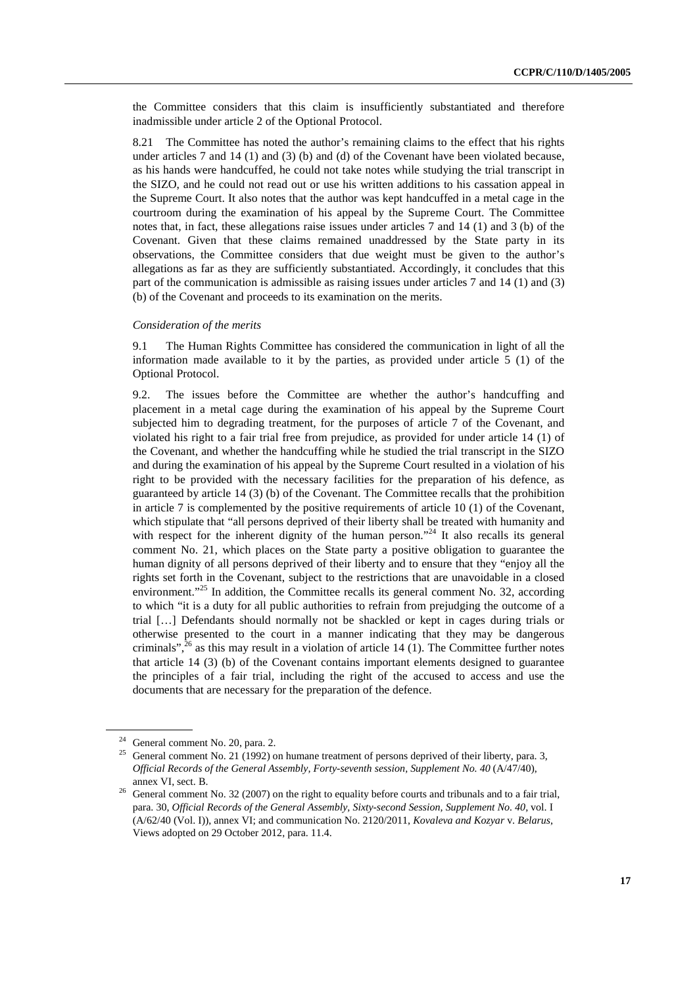the Committee considers that this claim is insufficiently substantiated and therefore inadmissible under article 2 of the Optional Protocol.

8.21 The Committee has noted the author's remaining claims to the effect that his rights under articles 7 and 14 (1) and (3) (b) and (d) of the Covenant have been violated because, as his hands were handcuffed, he could not take notes while studying the trial transcript in the SIZO, and he could not read out or use his written additions to his cassation appeal in the Supreme Court. It also notes that the author was kept handcuffed in a metal cage in the courtroom during the examination of his appeal by the Supreme Court. The Committee notes that, in fact, these allegations raise issues under articles 7 and 14 (1) and 3 (b) of the Covenant. Given that these claims remained unaddressed by the State party in its observations, the Committee considers that due weight must be given to the author's allegations as far as they are sufficiently substantiated. Accordingly, it concludes that this part of the communication is admissible as raising issues under articles 7 and 14 (1) and (3) (b) of the Covenant and proceeds to its examination on the merits.

#### *Consideration of the merits*

9.1 The Human Rights Committee has considered the communication in light of all the information made available to it by the parties, as provided under article  $5(1)$  of the Optional Protocol.

9.2. The issues before the Committee are whether the author's handcuffing and placement in a metal cage during the examination of his appeal by the Supreme Court subjected him to degrading treatment, for the purposes of article 7 of the Covenant, and violated his right to a fair trial free from prejudice, as provided for under article 14 (1) of the Covenant, and whether the handcuffing while he studied the trial transcript in the SIZO and during the examination of his appeal by the Supreme Court resulted in a violation of his right to be provided with the necessary facilities for the preparation of his defence, as guaranteed by article 14 (3) (b) of the Covenant. The Committee recalls that the prohibition in article 7 is complemented by the positive requirements of article 10 (1) of the Covenant, which stipulate that "all persons deprived of their liberty shall be treated with humanity and with respect for the inherent dignity of the human person."<sup>24</sup> It also recalls its general comment No. 21, which places on the State party a positive obligation to guarantee the human dignity of all persons deprived of their liberty and to ensure that they "enjoy all the rights set forth in the Covenant, subject to the restrictions that are unavoidable in a closed environment."<sup>25</sup> In addition, the Committee recalls its general comment No. 32, according to which "it is a duty for all public authorities to refrain from prejudging the outcome of a trial […] Defendants should normally not be shackled or kept in cages during trials or otherwise presented to the court in a manner indicating that they may be dangerous criminals",<sup>26</sup> as this may result in a violation of article 14 (1). The Committee further notes that article 14 (3) (b) of the Covenant contains important elements designed to guarantee the principles of a fair trial, including the right of the accused to access and use the documents that are necessary for the preparation of the defence.

<sup>24</sup> General comment No. 20, para. 2.

<sup>&</sup>lt;sup>25</sup> General comment No. 21 (1992) on humane treatment of persons deprived of their liberty, para. 3, *Official Records of the General Assembly, Forty-seventh session, Supplement No. 40* (A/47/40),

annex VI, sect. B.<br><sup>26</sup> General comment No. 32 (2007) on the right to equality before courts and tribunals and to a fair trial, para. 30, *Official Records of the General Assembly, Sixty-second Session, Supplement No. 40,* vol. I (A/62/40 (Vol. I)), annex VI; and communication No. 2120/2011, *Kovaleva and Kozyar* v. *Belarus*, Views adopted on 29 October 2012, para. 11.4.